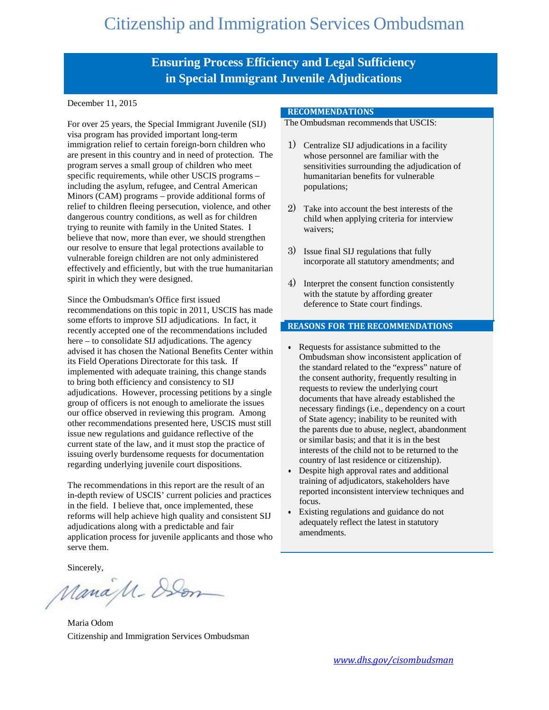### **Ensuring Process Efficiency and Legal Sufficiency in Special Immigrant Juvenile Adjudications**

December 11, 2015

For over 25 years, the Special Immigrant Juvenile (SIJ) visa program has provided important long-term immigration relief to certain foreign-born children who are present in this country and in need of protection. The program serves a small group of children who meet specific requirements, while other USCIS programs – including the asylum, refugee, and Central American Minors (CAM) programs – provide additional forms of relief to children fleeing persecution, violence, and other dangerous country conditions, as well as for children trying to reunite with family in the United States. I believe that now, more than ever, we should strengthen our resolve to ensure that legal protections available to vulnerable foreign children are not only administered effectively and efficiently, but with the true humanitarian spirit in which they were designed.

Since the Ombudsman's Office first issued recommendations on this topic in 2011, USCIS has made some efforts to improve SIJ adjudications. In fact, it recently accepted one of the recommendations included here – to consolidate SIJ adjudications. The agency advised it has chosen the National Benefits Center within its Field Operations Directorate for this task. If implemented with adequate training, this change stands to bring both efficiency and consistency to SIJ adjudications. However, processing petitions by a single group of officers is not enough to ameliorate the issues our office observed in reviewing this program. Among other recommendations presented here, USCIS must still issue new regulations and guidance reflective of the current state of the law, and it must stop the practice of issuing overly burdensome requests for documentation regarding underlying juvenile court dispositions.

The recommendations in this report are the result of an in-depth review of USCIS' current policies and practices in the field. I believe that, once implemented, these reforms will help achieve high quality and consistent SIJ adjudications along with a predictable and fair application process for juvenile applicants and those who serve them.

Sincerely,

ManaM-Dom

Maria Odom Citizenship and Immigration Services Ombudsman

#### **RECOMMENDATIONS**

The Ombudsman recommends that USCIS:

- 1) Centralize SIJ adjudications in a facility whose personnel are familiar with the sensitivities surrounding the adjudication of humanitarian benefits for vulnerable populations;
- 2) Take into account the best interests of the child when applying criteria for interview waivers;
- 3) Issue final SIJ regulations that fully incorporate all statutory amendments; and
- 4) Interpret the consent function consistently with the statute by affording greater deference to State court findings.

#### **REASONS FOR THE RECOMMENDATIONS**

- Requests for assistance submitted to the Ombudsman show inconsistent application of the standard related to the "express" nature of the consent authority, frequently resulting in requests to review the underlying court documents that have already established the necessary findings (i.e., dependency on a court of State agency; inability to be reunited with the parents due to abuse, neglect, abandonment or similar basis; and that it is in the best interests of the child not to be returned to the country of last residence or citizenship).
- Despite high approval rates and additional training of adjudicators, stakeholders have reported inconsistent interview techniques and focus.
- Existing regulations and guidance do not adequately reflect the latest in statutory amendments.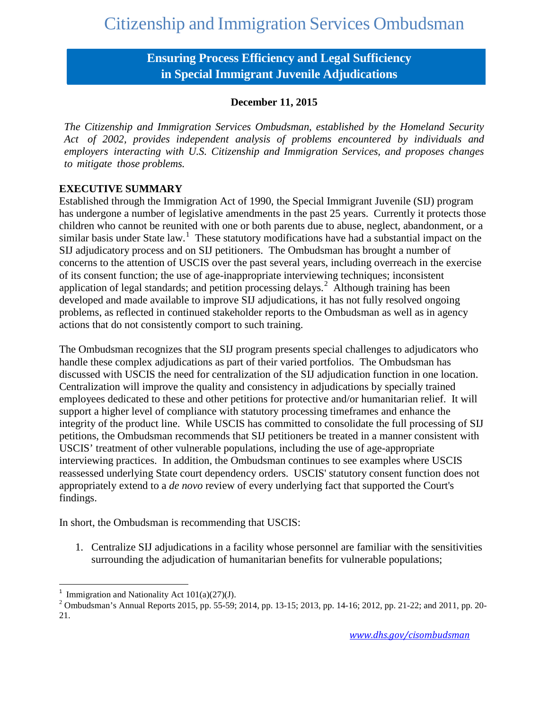### **Ensuring Process Efficiency and Legal Sufficiency in Special Immigrant Juvenile Adjudications**

#### **December 11, 2015**

*The Citizenship and Immigration Services Ombudsman, established by the Homeland Security Act of 2002, provides independent analysis of problems encountered by individuals and employers interacting with U.S. Citizenship and Immigration Services, and proposes changes to mitigate those problems.*

#### **EXECUTIVE SUMMARY**

Established through the Immigration Act of 1990, the Special Immigrant Juvenile (SIJ) program has undergone a number of legislative amendments in the past 25 years. Currently it protects those children who cannot be reunited with one or both parents due to abuse, neglect, abandonment, or a similar basis under State law.<sup>[1](#page-1-0)</sup> These statutory modifications have had a substantial impact on the SIJ adjudicatory process and on SIJ petitioners. The Ombudsman has brought a number of concerns to the attention of USCIS over the past several years, including overreach in the exercise of its consent function; the use of age-inappropriate interviewing techniques; inconsistent application of legal standards; and petition processing delays.<sup>[2](#page-1-1)</sup> Although training has been developed and made available to improve SIJ adjudications, it has not fully resolved ongoing problems, as reflected in continued stakeholder reports to the Ombudsman as well as in agency actions that do not consistently comport to such training.

The Ombudsman recognizes that the SIJ program presents special challenges to adjudicators who handle these complex adjudications as part of their varied portfolios. The Ombudsman has discussed with USCIS the need for centralization of the SIJ adjudication function in one location. Centralization will improve the quality and consistency in adjudications by specially trained employees dedicated to these and other petitions for protective and/or humanitarian relief. It will support a higher level of compliance with statutory processing timeframes and enhance the integrity of the product line. While USCIS has committed to consolidate the full processing of SIJ petitions, the Ombudsman recommends that SIJ petitioners be treated in a manner consistent with USCIS' treatment of other vulnerable populations, including the use of age-appropriate interviewing practices. In addition, the Ombudsman continues to see examples where USCIS reassessed underlying State court dependency orders. USCIS' statutory consent function does not appropriately extend to a *de novo* review of every underlying fact that supported the Court's findings.

In short, the Ombudsman is recommending that USCIS:

1. Centralize SIJ adjudications in a facility whose personnel are familiar with the sensitivities surrounding the adjudication of humanitarian benefits for vulnerable populations;

 $\frac{1}{1}$ 

<span id="page-1-1"></span><span id="page-1-0"></span><sup>&</sup>lt;sup>1</sup> Immigration and Nationality Act  $101(a)(27)(J)$ .<br><sup>2</sup> Ombudsman's Annual Reports 2015, pp. 55-59; 2014, pp. 13-15; 2013, pp. 14-16; 2012, pp. 21-22; and 2011, pp. 20-21.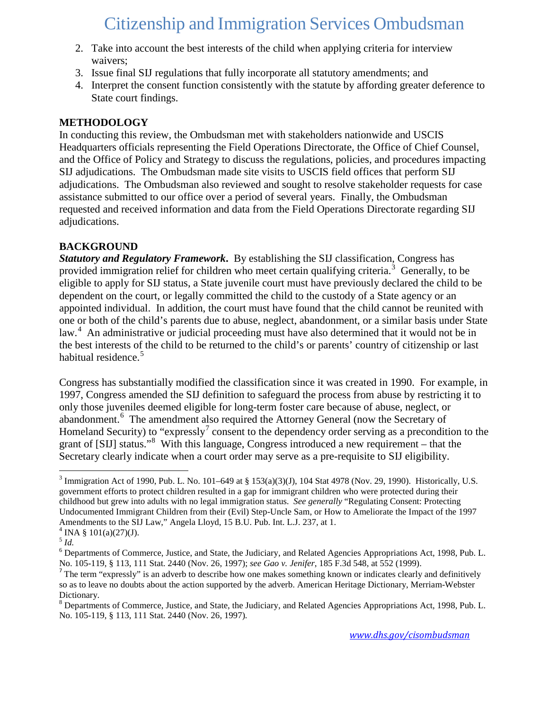- 2. Take into account the best interests of the child when applying criteria for interview waivers;
- 3. Issue final SIJ regulations that fully incorporate all statutory amendments; and
- 4. Interpret the consent function consistently with the statute by affording greater deference to State court findings.

#### **METHODOLOGY**

In conducting this review, the Ombudsman met with stakeholders nationwide and USCIS Headquarters officials representing the Field Operations Directorate, the Office of Chief Counsel, and the Office of Policy and Strategy to discuss the regulations, policies, and procedures impacting SIJ adjudications. The Ombudsman made site visits to USCIS field offices that perform SIJ adjudications. The Ombudsman also reviewed and sought to resolve stakeholder requests for case assistance submitted to our office over a period of several years. Finally, the Ombudsman requested and received information and data from the Field Operations Directorate regarding SIJ adjudications.

### **BACKGROUND**

*Statutory and Regulatory Framework***.** By establishing the SIJ classification, Congress has provided immigration relief for children who meet certain qualifying criteria.<sup>[3](#page-2-0)</sup> Generally, to be eligible to apply for SIJ status, a State juvenile court must have previously declared the child to be dependent on the court, or legally committed the child to the custody of a State agency or an appointed individual. In addition, the court must have found that the child cannot be reunited with one or both of the child's parents due to abuse, neglect, abandonment, or a similar basis under State law.<sup>[4](#page-2-1)</sup> An administrative or judicial proceeding must have also determined that it would not be in the best interests of the child to be returned to the child's or parents' country of citizenship or last habitual residence.<sup>[5](#page-2-2)</sup>

Congress has substantially modified the classification since it was created in 1990. For example, in 1997, Congress amended the SIJ definition to safeguard the process from abuse by restricting it to only those juveniles deemed eligible for long-term foster care because of abuse, neglect, or abandonment.<sup>[6](#page-2-3)</sup> The amendment also required the Attorney General (now the Secretary of Homeland Security) to "expressly<sup>[7](#page-2-4)</sup> consent to the dependency order serving as a precondition to the grant of [SIJ] status."<sup>[8](#page-2-5)</sup> With this language, Congress introduced a new requirement – that the Secretary clearly indicate when a court order may serve as a pre-requisite to SIJ eligibility.

<span id="page-2-0"></span><sup>&</sup>lt;sup>3</sup> Immigration Act of 1990, Pub. L. No. 101–649 at § 153(a)(3)(J), 104 Stat 4978 (Nov. 29, 1990). Historically, U.S. government efforts to protect children resulted in a gap for immigrant children who were protected during their childhood but grew into adults with no legal immigration status. *See generally* "Regulating Consent: Protecting Undocumented Immigrant Children from their (Evil) Step-Uncle Sam, or How to Ameliorate the Impact of the 1997 Amendments to the SIJ Law," Angela Lloyd, 15 B.U. Pub. Int. L.J. 237, at 1.

<span id="page-2-1"></span><sup>&</sup>lt;sup>4</sup> INA § 101(a)(27)(J).

<span id="page-2-2"></span><sup>5</sup> *Id.* 

<span id="page-2-3"></span><sup>6</sup> Departments of Commerce, Justice, and State, the Judiciary, and Related Agencies Appropriations Act, 1998, Pub. L. No. 105-119, § 113, 111 Stat. 2440 (Nov. 26, 1997); *see Gao v. Jenifer*, 185 F.3d 548, at 552 (1999).<br><sup>7</sup> The term "expressly" is an adverb to describe how one makes something known or indicates clearly and definitively

<span id="page-2-4"></span>so as to leave no doubts about the action supported by the adverb. American Heritage Dictionary, Merriam-Webster Dictionary.

<span id="page-2-5"></span><sup>8</sup> Departments of Commerce, Justice, and State, the Judiciary, and Related Agencies Appropriations Act, 1998, Pub. L. No. 105-119, § 113, 111 Stat. 2440 (Nov. 26, 1997)*.*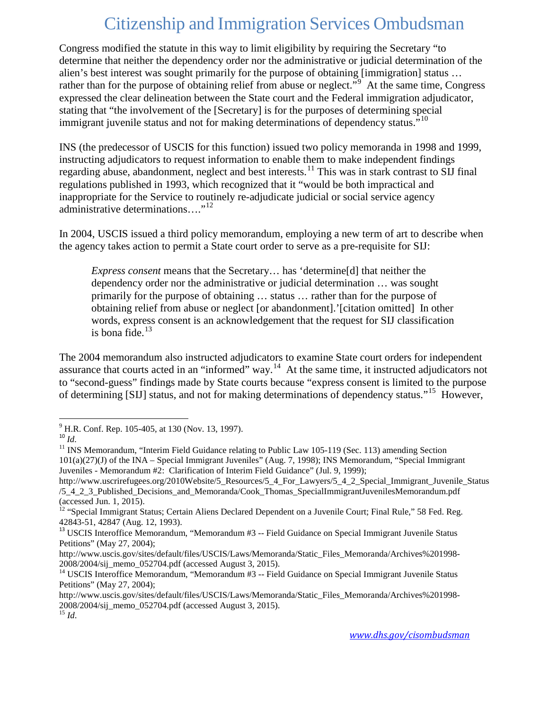Congress modified the statute in this way to limit eligibility by requiring the Secretary "to determine that neither the dependency order nor the administrative or judicial determination of the alien's best interest was sought primarily for the purpose of obtaining [immigration] status … rather than for the purpose of obtaining relief from abuse or neglect."<sup>[9](#page-3-0)</sup> At the same time, Congress expressed the clear delineation between the State court and the Federal immigration adjudicator, stating that "the involvement of the [Secretary] is for the purposes of determining special immigrant juvenile status and not for making determinations of dependency status."<sup>[10](#page-3-1)</sup>

INS (the predecessor of USCIS for this function) issued two policy memoranda in 1998 and 1999, instructing adjudicators to request information to enable them to make independent findings regarding abuse, abandonment, neglect and best interests.<sup>[11](#page-3-2)</sup> This was in stark contrast to SIJ final regulations published in 1993, which recognized that it "would be both impractical and inappropriate for the Service to routinely re-adjudicate judicial or social service agency administrative determinations...."<sup>12</sup>

In 2004, USCIS issued a third policy memorandum, employing a new term of art to describe when the agency takes action to permit a State court order to serve as a pre-requisite for SIJ:

*Express consent* means that the Secretary… has 'determine[d] that neither the dependency order nor the administrative or judicial determination … was sought primarily for the purpose of obtaining … status … rather than for the purpose of obtaining relief from abuse or neglect [or abandonment].'[citation omitted] In other words, express consent is an acknowledgement that the request for SIJ classification is bona fide. $13$ 

The 2004 memorandum also instructed adjudicators to examine State court orders for independent assurance that courts acted in an "informed" way.[14](#page-3-5) At the same time, it instructed adjudicators not to "second-guess" findings made by State courts because "express consent is limited to the purpose of determining [SIJ] status, and not for making determinations of dependency status."[15](#page-3-6) However,

<span id="page-3-2"></span><span id="page-3-1"></span>

<span id="page-3-0"></span><sup>&</sup>lt;sup>9</sup> H.R. Conf. Rep. 105-405, at 130 (Nov. 13, 1997).<br><sup>10</sup> *Id.* <br><sup>11</sup> INS Memorandum, "Interim Field Guidance relating to Public Law 105-119 (Sec. 113) amending Section 101(a)(27)(J) of the INA – Special Immigrant Juveniles" (Aug. 7, 1998); INS Memorandum, "Special Immigrant Juveniles - Memorandum #2: Clarification of Interim Field Guidance" (Jul. 9, 1999);

http://www.uscrirefugees.org/2010Website/5\_Resources/5\_4\_For\_Lawyers/5\_4\_2\_Special\_Immigrant\_Juvenile\_Status /5\_4\_2\_3\_Published\_Decisions\_and\_Memoranda/Cook\_Thomas\_SpecialImmigrantJuvenilesMemorandum.pdf (accessed Jun. 1, 2015).

<span id="page-3-3"></span><sup>&</sup>lt;sup>12</sup> "Special Immigrant Status; Certain Aliens Declared Dependent on a Juvenile Court; Final Rule," 58 Fed. Reg. 42843-51, 42847 (Aug. 12, 1993).

<span id="page-3-4"></span><sup>&</sup>lt;sup>13</sup> USCIS Interoffice Memorandum, "Memorandum #3 -- Field Guidance on Special Immigrant Juvenile Status Petitions" (May 27, 2004);

http://www.uscis.gov/sites/default/files/USCIS/Laws/Memoranda/Static\_Files\_Memoranda/Archives%201998-2008/2004/sij memo 052704.pdf (accessed August 3, 2015).

<span id="page-3-5"></span><sup>&</sup>lt;sup>14</sup> USCIS Interoffice Memorandum, "Memorandum #3 -- Field Guidance on Special Immigrant Juvenile Status Petitions" (May 27, 2004);

http://www.uscis.gov/sites/default/files/USCIS/Laws/Memoranda/Static\_Files\_Memoranda/Archives%201998- 2008/2004/sij\_memo\_052704.pdf (accessed August 3, 2015). <sup>15</sup> *Id*.

<span id="page-3-6"></span>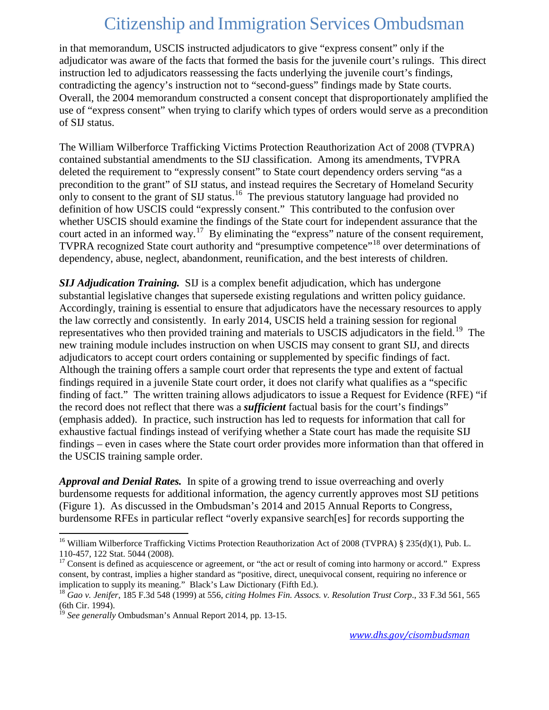in that memorandum, USCIS instructed adjudicators to give "express consent" only if the adjudicator was aware of the facts that formed the basis for the juvenile court's rulings. This direct instruction led to adjudicators reassessing the facts underlying the juvenile court's findings, contradicting the agency's instruction not to "second-guess" findings made by State courts. Overall, the 2004 memorandum constructed a consent concept that disproportionately amplified the use of "express consent" when trying to clarify which types of orders would serve as a precondition of SIJ status.

The William Wilberforce Trafficking Victims Protection Reauthorization Act of 2008 (TVPRA) contained substantial amendments to the SIJ classification. Among its amendments, TVPRA deleted the requirement to "expressly consent" to State court dependency orders serving "as a precondition to the grant" of SIJ status, and instead requires the Secretary of Homeland Security only to consent to the grant of SIJ status.<sup>[16](#page-4-0)</sup> The previous statutory language had provided no definition of how USCIS could "expressly consent." This contributed to the confusion over whether USCIS should examine the findings of the State court for independent assurance that the court acted in an informed way.<sup>[17](#page-4-1)</sup> By eliminating the "express" nature of the consent requirement, TVPRA recognized State court authority and "presumptive competence"[18](#page-4-2) over determinations of dependency, abuse, neglect, abandonment, reunification, and the best interests of children.

*SIJ Adjudication Training.* SIJ is a complex benefit adjudication, which has undergone substantial legislative changes that supersede existing regulations and written policy guidance. Accordingly, training is essential to ensure that adjudicators have the necessary resources to apply the law correctly and consistently. In early 2014, USCIS held a training session for regional representatives who then provided training and materials to USCIS adjudicators in the field.<sup>[19](#page-4-3)</sup> The new training module includes instruction on when USCIS may consent to grant SIJ, and directs adjudicators to accept court orders containing or supplemented by specific findings of fact. Although the training offers a sample court order that represents the type and extent of factual findings required in a juvenile State court order, it does not clarify what qualifies as a "specific finding of fact." The written training allows adjudicators to issue a Request for Evidence (RFE) "if the record does not reflect that there was a *sufficient* factual basis for the court's findings" (emphasis added). In practice, such instruction has led to requests for information that call for exhaustive factual findings instead of verifying whether a State court has made the requisite SIJ findings – even in cases where the State court order provides more information than that offered in the USCIS training sample order.

*Approval and Denial Rates.* In spite of a growing trend to issue overreaching and overly burdensome requests for additional information, the agency currently approves most SIJ petitions (Figure 1). As discussed in the Ombudsman's 2014 and 2015 Annual Reports to Congress, burdensome RFEs in particular reflect "overly expansive search[es] for records supporting the

<span id="page-4-0"></span><sup>&</sup>lt;sup>16</sup> William Wilberforce Trafficking Victims Protection Reauthorization Act of 2008 (TVPRA) § 235(d)(1), Pub. L. 110-457, 122 Stat. 5044 (2008).

<span id="page-4-1"></span> $17$  Consent is defined as acquiescence or agreement, or "the act or result of coming into harmony or accord." Express consent, by contrast, implies a higher standard as "positive, direct, unequivocal consent, requiring no inference or implication to supply its meaning." Black's Law Dictionary (Fifth Ed.).<br><sup>18</sup> *Gao v. Jenifer*, 185 F.3d 548 (1999) at 556, *citing Holmes Fin. Assocs. v. Resolution Trust Corp.*, 33 F.3d 561, 565

<span id="page-4-2"></span><sup>(6</sup>th Cir. 1994).

<span id="page-4-3"></span><sup>&</sup>lt;sup>9</sup> See generally Ombudsman's Annual Report 2014, pp. 13-15.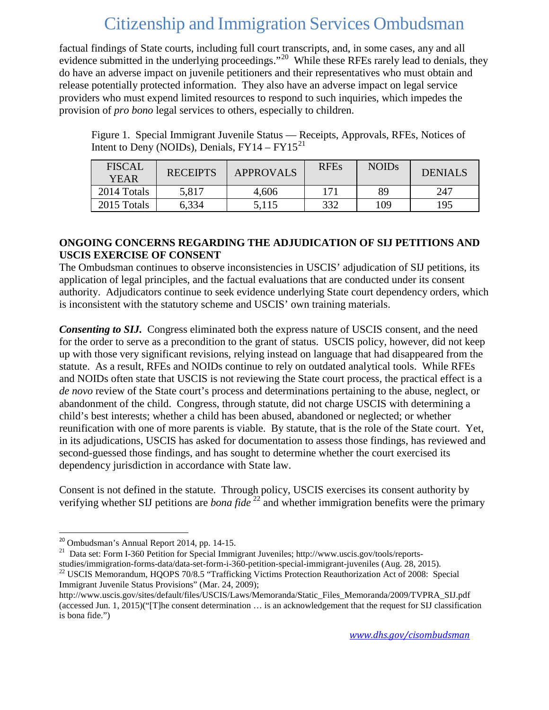factual findings of State courts, including full court transcripts, and, in some cases, any and all evidence submitted in the underlying proceedings."<sup>20</sup> While these RFEs rarely lead to denials, they do have an adverse impact on juvenile petitioners and their representatives who must obtain and release potentially protected information. They also have an adverse impact on legal service providers who must expend limited resources to respond to such inquiries, which impedes the provision of *pro bono* legal services to others, especially to children.

Figure 1. Special Immigrant Juvenile Status — Receipts, Approvals, RFEs, Notices of Intent to Deny (NOIDs), Denials,  $FY14 - FY15^{21}$  $FY14 - FY15^{21}$  $FY14 - FY15^{21}$ 

| <b>FISCAL</b><br><b>YEAR</b> | <b>RECEIPTS</b> | <b>APPROVALS</b> | <b>RFEs</b> | <b>NOIDs</b> | DENIALS |
|------------------------------|-----------------|------------------|-------------|--------------|---------|
| 2014 Totals                  | 5,817           | 4,606            | 171         | 89           | 247     |
| 2015 Totals                  | 6,334           | 5,115            | 332         | 109          | 195     |

#### **ONGOING CONCERNS REGARDING THE ADJUDICATION OF SIJ PETITIONS AND USCIS EXERCISE OF CONSENT**

The Ombudsman continues to observe inconsistencies in USCIS' adjudication of SIJ petitions, its application of legal principles, and the factual evaluations that are conducted under its consent authority. Adjudicators continue to seek evidence underlying State court dependency orders, which is inconsistent with the statutory scheme and USCIS' own training materials.

*Consenting to SIJ.* Congress eliminated both the express nature of USCIS consent, and the need for the order to serve as a precondition to the grant of status. USCIS policy, however, did not keep up with those very significant revisions, relying instead on language that had disappeared from the statute. As a result, RFEs and NOIDs continue to rely on outdated analytical tools. While RFEs and NOIDs often state that USCIS is not reviewing the State court process, the practical effect is a *de novo* review of the State court's process and determinations pertaining to the abuse, neglect, or abandonment of the child. Congress, through statute, did not charge USCIS with determining a child's best interests; whether a child has been abused, abandoned or neglected; or whether reunification with one of more parents is viable. By statute, that is the role of the State court. Yet, in its adjudications, USCIS has asked for documentation to assess those findings, has reviewed and second-guessed those findings, and has sought to determine whether the court exercised its dependency jurisdiction in accordance with State law.

Consent is not defined in the statute. Through policy, USCIS exercises its consent authority by verifying whether SIJ petitions are *bona fide*<sup>[22](#page-5-2)</sup> and whether immigration benefits were the primary

<span id="page-5-1"></span><span id="page-5-0"></span><sup>&</sup>lt;sup>20</sup> Ombudsman's Annual Report 2014, pp. 14-15.<br><sup>21</sup> Data set: Form I-360 Petition for Special Immigrant Juveniles; http://www.uscis.gov/tools/reports-<br>studies/immigration-forms-data/data-set-form-i-360-petition-special-i <sup>22</sup> USCIS Memorandum, HQOPS 70/8.5 "Trafficking Victims Protection Reauthorization Act of 2008: Special Immigrant Juvenile Status Provisions" (Mar. 24, 2009);

<span id="page-5-2"></span>http://www.uscis.gov/sites/default/files/USCIS/Laws/Memoranda/Static\_Files\_Memoranda/2009/TVPRA\_SIJ.pdf (accessed Jun. 1, 2015)("[T]he consent determination … is an acknowledgement that the request for SIJ classification is bona fide.")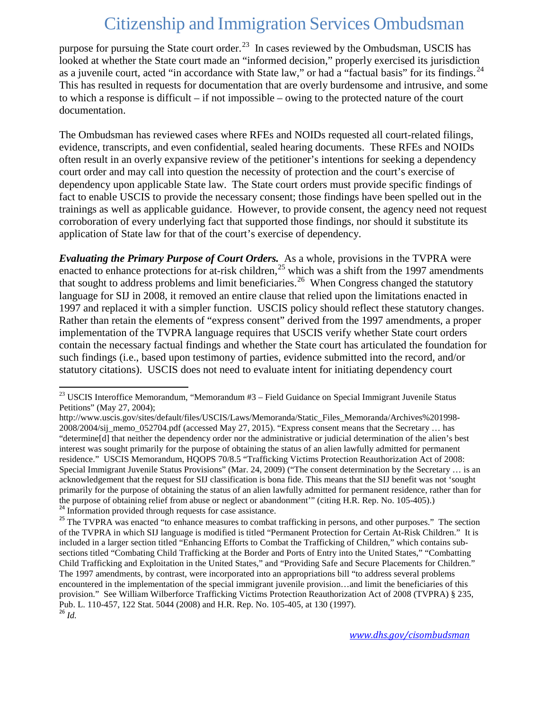purpose for pursuing the State court order.<sup>[23](#page-6-0)</sup> In cases reviewed by the Ombudsman, USCIS has looked at whether the State court made an "informed decision," properly exercised its jurisdiction as a juvenile court, acted "in accordance with State law," or had a "factual basis" for its findings.<sup>24</sup> This has resulted in requests for documentation that are overly burdensome and intrusive, and some to which a response is difficult – if not impossible – owing to the protected nature of the court documentation.

The Ombudsman has reviewed cases where RFEs and NOIDs requested all court-related filings, evidence, transcripts, and even confidential, sealed hearing documents. These RFEs and NOIDs often result in an overly expansive review of the petitioner's intentions for seeking a dependency court order and may call into question the necessity of protection and the court's exercise of dependency upon applicable State law. The State court orders must provide specific findings of fact to enable USCIS to provide the necessary consent; those findings have been spelled out in the trainings as well as applicable guidance. However, to provide consent, the agency need not request corroboration of every underlying fact that supported those findings, nor should it substitute its application of State law for that of the court's exercise of dependency.

*Evaluating the Primary Purpose of Court Orders.* As a whole, provisions in the TVPRA were enacted to enhance protections for at-risk children,<sup>[25](#page-6-2)</sup> which was a shift from the 1997 amendments that sought to address problems and limit beneficiaries.<sup>26</sup> When Congress changed the statutory language for SIJ in 2008, it removed an entire clause that relied upon the limitations enacted in 1997 and replaced it with a simpler function. USCIS policy should reflect these statutory changes. Rather than retain the elements of "express consent" derived from the 1997 amendments, a proper implementation of the TVPRA language requires that USCIS verify whether State court orders contain the necessary factual findings and whether the State court has articulated the foundation for such findings (i.e., based upon testimony of parties, evidence submitted into the record, and/or statutory citations). USCIS does not need to evaluate intent for initiating dependency court

<span id="page-6-0"></span><sup>&</sup>lt;sup>23</sup> USCIS Interoffice Memorandum, "Memorandum #3 – Field Guidance on Special Immigrant Juvenile Status Petitions" (May 27, 2004);

http://www.uscis.gov/sites/default/files/USCIS/Laws/Memoranda/Static\_Files\_Memoranda/Archives%201998- 2008/2004/sij\_memo\_052704.pdf (accessed May 27, 2015). "Express consent means that the Secretary … has "determine[d] that neither the dependency order nor the administrative or judicial determination of the alien's best interest was sought primarily for the purpose of obtaining the status of an alien lawfully admitted for permanent residence." USCIS Memorandum, HQOPS 70/8.5 "Trafficking Victims Protection Reauthorization Act of 2008: Special Immigrant Juvenile Status Provisions" (Mar. 24, 2009) ("The consent determination by the Secretary … is an acknowledgement that the request for SIJ classification is bona fide. This means that the SIJ benefit was not 'sought primarily for the purpose of obtaining the status of an alien lawfully admitted for permanent residence, rather than for the purpose of obtaining relief from abuse or neglect or abandonment"" (citing H.R. Rep. No. 105-405).)<br><sup>24</sup> Information provided through requests for case assistance.<br><sup>25</sup> The TVPRA was enacted "to enhance measures to co

<span id="page-6-3"></span><span id="page-6-2"></span><span id="page-6-1"></span>of the TVPRA in which SIJ language is modified is titled "Permanent Protection for Certain At-Risk Children." It is included in a larger section titled "Enhancing Efforts to Combat the Trafficking of Children," which contains subsections titled "Combating Child Trafficking at the Border and Ports of Entry into the United States," "Combatting Child Trafficking and Exploitation in the United States," and "Providing Safe and Secure Placements for Children." The 1997 amendments, by contrast, were incorporated into an appropriations bill "to address several problems encountered in the implementation of the special immigrant juvenile provision…and limit the beneficiaries of this provision." See William Wilberforce Trafficking Victims Protection Reauthorization Act of 2008 (TVPRA) § 235, Pub. L. 110-457, 122 Stat. 5044 (2008) and H.R. Rep. No. 105-405, at 130 (1997). <sup>26</sup> *Id.*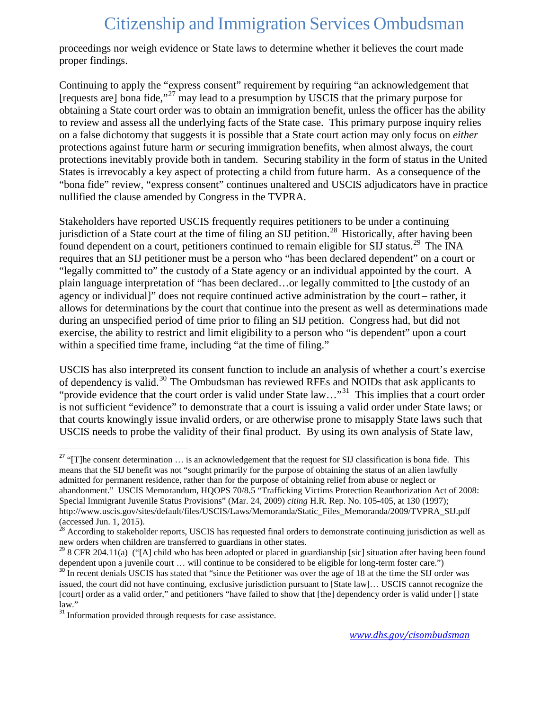proceedings nor weigh evidence or State laws to determine whether it believes the court made proper findings.

Continuing to apply the "express consent" requirement by requiring "an acknowledgement that [requests are] bona fide,"[27](#page-7-0) may lead to a presumption by USCIS that the primary purpose for obtaining a State court order was to obtain an immigration benefit, unless the officer has the ability to review and assess all the underlying facts of the State case. This primary purpose inquiry relies on a false dichotomy that suggests it is possible that a State court action may only focus on *either* protections against future harm *or* securing immigration benefits, when almost always, the court protections inevitably provide both in tandem. Securing stability in the form of status in the United States is irrevocably a key aspect of protecting a child from future harm. As a consequence of the "bona fide" review, "express consent" continues unaltered and USCIS adjudicators have in practice nullified the clause amended by Congress in the TVPRA.

Stakeholders have reported USCIS frequently requires petitioners to be under a continuing jurisdiction of a State court at the time of filing an SIJ petition.<sup>[28](#page-7-1)</sup> Historically, after having been found dependent on a court, petitioners continued to remain eligible for SIJ status.<sup>[29](#page-7-2)</sup> The INA requires that an SIJ petitioner must be a person who "has been declared dependent" on a court or "legally committed to" the custody of a State agency or an individual appointed by the court. A plain language interpretation of "has been declared…or legally committed to [the custody of an agency or individual]" does not require continued active administration by the court – rather, it allows for determinations by the court that continue into the present as well as determinations made during an unspecified period of time prior to filing an SIJ petition. Congress had, but did not exercise, the ability to restrict and limit eligibility to a person who "is dependent" upon a court within a specified time frame, including "at the time of filing."

USCIS has also interpreted its consent function to include an analysis of whether a court's exercise of dependency is valid.[30](#page-7-3) The Ombudsman has reviewed RFEs and NOIDs that ask applicants to "provide evidence that the court order is valid under State law…"[31](#page-7-4) This implies that a court order is not sufficient "evidence" to demonstrate that a court is issuing a valid order under State laws; or that courts knowingly issue invalid orders, or are otherwise prone to misapply State laws such that USCIS needs to probe the validity of their final product. By using its own analysis of State law,

<span id="page-7-0"></span><sup>&</sup>lt;sup>27</sup> "[T]he consent determination  $\dots$  is an acknowledgement that the request for SIJ classification is bona fide. This means that the SIJ benefit was not "sought primarily for the purpose of obtaining the status of an alien lawfully admitted for permanent residence, rather than for the purpose of obtaining relief from abuse or neglect or abandonment." USCIS Memorandum, HQOPS 70/8.5 "Trafficking Victims Protection Reauthorization Act of 2008: Special Immigrant Juvenile Status Provisions" (Mar. 24, 2009) *citing* H.R. Rep. No. 105-405, at 130 (1997); http://www.uscis.gov/sites/default/files/USCIS/Laws/Memoranda/Static\_Files\_Memoranda/2009/TVPRA\_SIJ.pdf (accessed Jun. 1, 2015).

<span id="page-7-1"></span> $28$  According to stakeholder reports, USCIS has requested final orders to demonstrate continuing jurisdiction as well as new orders when children are transferred to guardians in other states.

<span id="page-7-2"></span><sup>&</sup>lt;sup>29</sup> 8 CFR 204.11(a) ("[A] child who has been adopted or placed in guardianship [sic] situation after having been found dependent upon a juvenile court ... will continue to be considered to be eligible for long-term foste

<span id="page-7-3"></span><sup>&</sup>lt;sup>30</sup> In recent denials USCIS has stated that "since the Petitioner was over the age of 18 at the time the SIJ order was issued, the court did not have continuing, exclusive jurisdiction pursuant to [State law]… USCIS cannot recognize the [court] order as a valid order," and petitioners "have failed to show that [the] dependency order is valid under [] state law."

<span id="page-7-4"></span><sup>&</sup>lt;sup>31</sup> Information provided through requests for case assistance.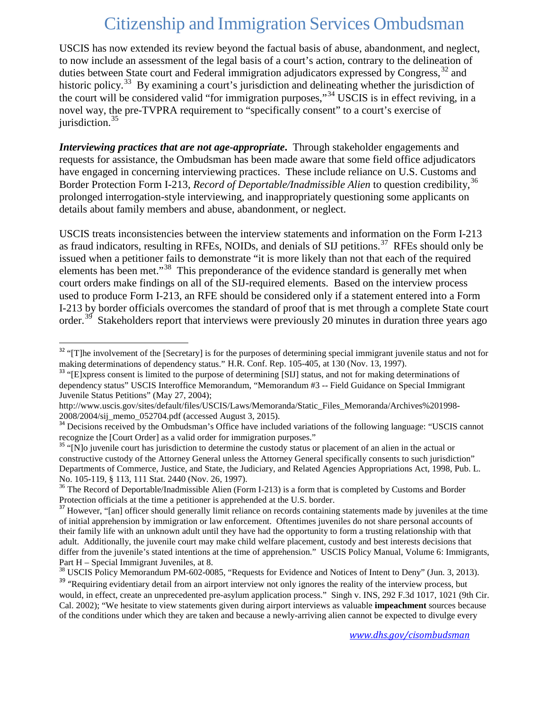USCIS has now extended its review beyond the factual basis of abuse, abandonment, and neglect, to now include an assessment of the legal basis of a court's action, contrary to the delineation of duties between State court and Federal immigration adjudicators expressed by Congress,  $32$  and historic policy.<sup>[33](#page-8-1)</sup> By examining a court's jurisdiction and delineating whether the jurisdiction of the court will be considered valid "for immigration purposes,"[34](#page-8-2) USCIS is in effect reviving, in a novel way, the pre-TVPRA requirement to "specifically consent" to a court's exercise of jurisdiction.<sup>[35](#page-8-3)</sup>

*Interviewing practices that are not age-appropriate***.** Through stakeholder engagements and requests for assistance, the Ombudsman has been made aware that some field office adjudicators have engaged in concerning interviewing practices. These include reliance on U.S. Customs and Border Protection Form I-213, *Record of Deportable/Inadmissible Alien* to question credibility,<sup>[36](#page-8-4)</sup> prolonged interrogation-style interviewing, and inappropriately questioning some applicants on details about family members and abuse, abandonment, or neglect.

USCIS treats inconsistencies between the interview statements and information on the Form I-213 as fraud indicators, resulting in RFEs, NOIDs, and denials of SIJ petitions.<sup>37</sup> RFEs should only be issued when a petitioner fails to demonstrate "it is more likely than not that each of the required elements has been met."[38](#page-8-6) This preponderance of the evidence standard is generally met when court orders make findings on all of the SIJ-required elements. Based on the interview process used to produce Form I-213, an RFE should be considered only if a statement entered into a Form I-213 by border officials overcomes the standard of proof that is met through a complete State court order.<sup>39</sup> Stakeholders report that interviews were previously 20 minutes in duration three years ago

<span id="page-8-0"></span> $32$  "[T]he involvement of the [Secretary] is for the purposes of determining special immigrant juvenile status and not for making determinations of dependency status." H.R. Conf. Rep. 105-405, at 130 (Nov. 13, 1997).

<span id="page-8-1"></span><sup>&</sup>lt;sup>33</sup> "[E]xpress consent is limited to the purpose of determining [SIJ] status, and not for making determinations of dependency status" USCIS Interoffice Memorandum, "Memorandum #3 -- Field Guidance on Special Immigrant Juvenile Status Petitions" (May 27, 2004);

http://www.uscis.gov/sites/default/files/USCIS/Laws/Memoranda/Static\_Files\_Memoranda/Archives%201998-<br>2008/2004/sij memo 052704.pdf (accessed August 3, 2015).

<span id="page-8-2"></span><sup>&</sup>lt;sup>34</sup> Decisions received by the Ombudsman's Office have included variations of the following language: "USCIS cannot recognize the [Court Order] as a valid order for immigration purposes."

<span id="page-8-3"></span><sup>&</sup>lt;sup>35</sup> "[N]o juvenile court has jurisdiction to determine the custody status or placement of an alien in the actual or constructive custody of the Attorney General unless the Attorney General specifically consents to such jurisdiction" Departments of Commerce, Justice, and State, the Judiciary, and Related Agencies Appropriations Act, 1998, Pub. L. No. 105-119, § 113, 111 Stat. 2440 (Nov. 26, 1997).<br><sup>36</sup> The Record of Deportable/Inadmissible Alien (Form I-213) is a form that is completed by Customs and Border

<span id="page-8-4"></span>Protection officials at the time a petitioner is apprehended at the U.S. border.

<span id="page-8-5"></span><sup>&</sup>lt;sup>37</sup> However, "[an] officer should generally limit reliance on records containing statements made by juveniles at the time of initial apprehension by immigration or law enforcement. Oftentimes juveniles do not share personal accounts of their family life with an unknown adult until they have had the opportunity to form a trusting relationship with that adult. Additionally, the juvenile court may make child welfare placement, custody and best interests decisions that differ from the juvenile's stated intentions at the time of apprehension." USCIS Policy Manual, Volume 6: Immigrants, Part H – Special Immigrant Juveniles, at 8.<br><sup>38</sup> USCIS Policy Memorandum PM-602-0085, "Requests for Evidence and Notices of Intent to Deny" (Jun. 3, 2013).

<span id="page-8-6"></span>

<span id="page-8-7"></span><sup>&</sup>lt;sup>39</sup> "Requiring evidentiary detail from an airport interview not only ignores the reality of the interview process, but would, in effect, create an unprecedented pre-asylum application process." Singh v. INS, 292 F.3d 1017, 1021 (9th Cir. [Cal. 2002\);](http://www.lexis.com/research/xlink?app=00075&view=full&searchtype=le&search=292+F.3d+1017%2520at%25201021) "We hesitate to view statements given during airport interviews as valuable **impeachment** sources because of the conditions under which they are taken and because a newly-arriving alien cannot be expected to divulge every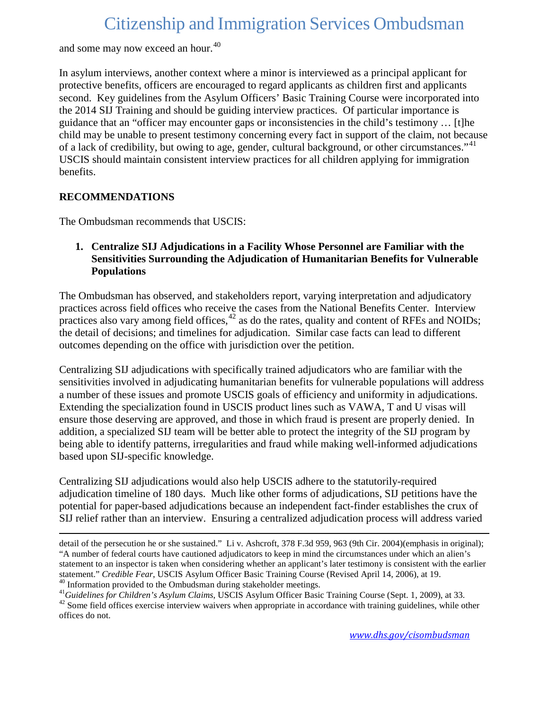and some may now exceed an hour.<sup>[40](#page-9-0)</sup>

In asylum interviews, another context where a minor is interviewed as a principal applicant for protective benefits, officers are encouraged to regard applicants as children first and applicants second. Key guidelines from the Asylum Officers' Basic Training Course were incorporated into the 2014 SIJ Training and should be guiding interview practices. Of particular importance is guidance that an "officer may encounter gaps or inconsistencies in the child's testimony … [t]he child may be unable to present testimony concerning every fact in support of the claim, not because of a lack of credibility, but owing to age, gender, cultural background, or other circumstances."<sup>41</sup> USCIS should maintain consistent interview practices for all children applying for immigration benefits.

### **RECOMMENDATIONS**

l

The Ombudsman recommends that USCIS:

#### **1. Centralize SIJ Adjudications in a Facility Whose Personnel are Familiar with the Sensitivities Surrounding the Adjudication of Humanitarian Benefits for Vulnerable Populations**

The Ombudsman has observed, and stakeholders report, varying interpretation and adjudicatory practices across field offices who receive the cases from the National Benefits Center. Interview practices also vary among field offices, $42$  as do the rates, quality and content of RFEs and NOIDs; the detail of decisions; and timelines for adjudication. Similar case facts can lead to different outcomes depending on the office with jurisdiction over the petition.

Centralizing SIJ adjudications with specifically trained adjudicators who are familiar with the sensitivities involved in adjudicating humanitarian benefits for vulnerable populations will address a number of these issues and promote USCIS goals of efficiency and uniformity in adjudications. Extending the specialization found in USCIS product lines such as VAWA, T and U visas will ensure those deserving are approved, and those in which fraud is present are properly denied. In addition, a specialized SIJ team will be better able to protect the integrity of the SIJ program by being able to identify patterns, irregularities and fraud while making well-informed adjudications based upon SIJ-specific knowledge.

Centralizing SIJ adjudications would also help USCIS adhere to the statutorily-required adjudication timeline of 180 days. Much like other forms of adjudications, SIJ petitions have the potential for paper-based adjudications because an independent fact-finder establishes the crux of SIJ relief rather than an interview. Ensuring a centralized adjudication process will address varied

detail of the persecution he or she sustained." [Li v. Ashcroft, 378 F.3d 959, 963 \(9th Cir. 2004\)\(](http://www.lexis.com/research/xlink?app=00075&view=full&searchtype=get&search=378+F.3d+959%2520at%2520963)emphasis in original); "A number of federal courts have cautioned adjudicators to keep in mind the circumstances under which an alien's statement to an inspector is taken when considering whether an applicant's later testimony is consistent with the earlier statement." *Credible Fear*, USCIS Asylum Officer Basic Training Course (Revised April 14, 2006), at 19.<br><sup>40</sup> Information provided to the Ombudsman during stakeholder meetings.<br><sup>41</sup> Guidelines for Children's Asylum Claims,

<span id="page-9-0"></span>

<span id="page-9-2"></span><span id="page-9-1"></span>offices do not.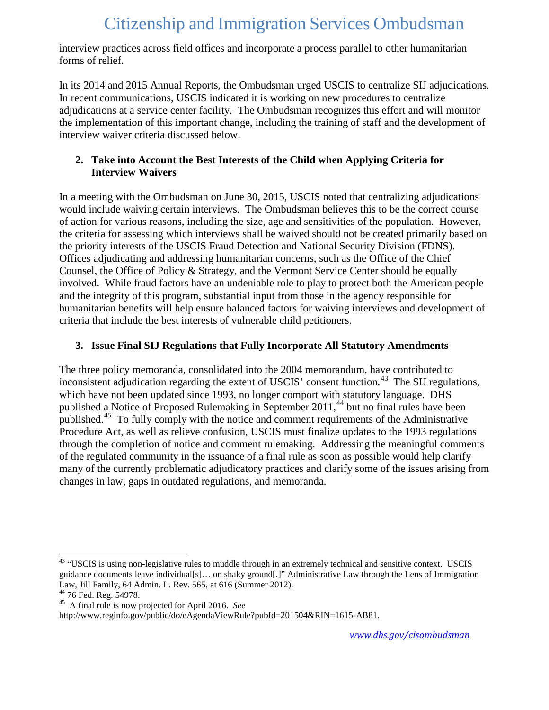interview practices across field offices and incorporate a process parallel to other humanitarian forms of relief.

In its 2014 and 2015 Annual Reports, the Ombudsman urged USCIS to centralize SIJ adjudications. In recent communications, USCIS indicated it is working on new procedures to centralize adjudications at a service center facility. The Ombudsman recognizes this effort and will monitor the implementation of this important change, including the training of staff and the development of interview waiver criteria discussed below.

### **2. Take into Account the Best Interests of the Child when Applying Criteria for Interview Waivers**

In a meeting with the Ombudsman on June 30, 2015, USCIS noted that centralizing adjudications would include waiving certain interviews. The Ombudsman believes this to be the correct course of action for various reasons, including the size, age and sensitivities of the population. However, the criteria for assessing which interviews shall be waived should not be created primarily based on the priority interests of the USCIS Fraud Detection and National Security Division (FDNS). Offices adjudicating and addressing humanitarian concerns, such as the Office of the Chief Counsel, the Office of Policy & Strategy, and the Vermont Service Center should be equally involved. While fraud factors have an undeniable role to play to protect both the American people and the integrity of this program, substantial input from those in the agency responsible for humanitarian benefits will help ensure balanced factors for waiving interviews and development of criteria that include the best interests of vulnerable child petitioners.

### **3. Issue Final SIJ Regulations that Fully Incorporate All Statutory Amendments**

The three policy memoranda, consolidated into the 2004 memorandum, have contributed to inconsistent adjudication regarding the extent of USCIS' consent function.<sup>43</sup> The SIJ regulations, which have not been updated since 1993, no longer comport with statutory language. DHS published a Notice of Proposed Rulemaking in September 2011,<sup>[44](#page-10-1)</sup> but no final rules have been published.<sup>[45](#page-10-2)</sup> To fully comply with the notice and comment requirements of the Administrative Procedure Act, as well as relieve confusion, USCIS must finalize updates to the 1993 regulations through the completion of notice and comment rulemaking. Addressing the meaningful comments of the regulated community in the issuance of a final rule as soon as possible would help clarify many of the currently problematic adjudicatory practices and clarify some of the issues arising from changes in law, gaps in outdated regulations, and memoranda.

<span id="page-10-0"></span><sup>&</sup>lt;sup>43</sup> "USCIS is using non-legislative rules to muddle through in an extremely technical and sensitive context. USCIS guidance documents leave individual[s]… on shaky ground[.]" Administrative Law through the Lens of Immigration Law, Jill Family, 64 Admin. L. Rev. 565, at 616 (Summer 2012).<br><sup>44</sup> 76 Fed. Reg. 54978.

<span id="page-10-1"></span>

<span id="page-10-2"></span><sup>&</sup>lt;sup>45</sup> A final rule is now projected for April 2016. See

http://www.reginfo.gov/public/do/eAgendaViewRule?pubId=201504&RIN=1615-AB81.